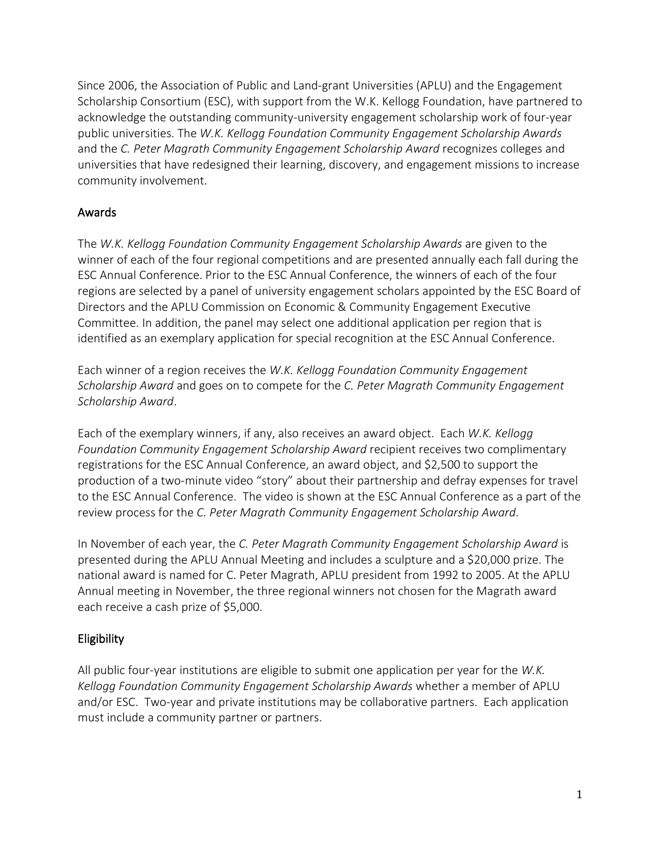Since 2006, the Association of Public and Land-grant Universities (APLU) and the Engagement Scholarship Consortium (ESC), with support from the W.K. Kellogg Foundation, have partnered to acknowledge the outstanding community-university engagement scholarship work of four-year public universities. The *W.K. Kellogg Foundation Community Engagement Scholarship Awards*  and the *C. Peter Magrath Community Engagement Scholarship Award* recognizes colleges and universities that have redesigned their learning, discovery, and engagement missions to increase community involvement.

## Awards

The *W.K. Kellogg Foundation Community Engagement Scholarship Awards* are given to the winner of each of the four regional competitions and are presented annually each fall during the ESC Annual Conference. Prior to the ESC Annual Conference, the winners of each of the four regions are selected by a panel of university engagement scholars appointed by the ESC Board of Directors and the APLU Commission on Economic & Community Engagement Executive Committee. In addition, the panel may select one additional application per region that is identified as an exemplary application for special recognition at the ESC Annual Conference.

Each winner of a region receives the *W.K. Kellogg Foundation Community Engagement Scholarship Award* and goes on to compete for the *C. Peter Magrath Community Engagement Scholarship Award*.

Each of the exemplary winners, if any, also receives an award object. Each *W.K. Kellogg Foundation Community Engagement Scholarship Award* recipient receives two complimentary registrations for the ESC Annual Conference, an award object, and \$2,500 to support the production of a two-minute video "story" about their partnership and defray expenses for travel to the ESC Annual Conference. The video is shown at the ESC Annual Conference as a part of the review process for the *C. Peter Magrath Community Engagement Scholarship Award*.

In November of each year, the *C. Peter Magrath Community Engagement Scholarship Award* is presented during the APLU Annual Meeting and includes a sculpture and a \$20,000 prize. The national award is named for C. Peter Magrath, APLU president from 1992 to 2005. At the APLU Annual meeting in November, the three regional winners not chosen for the Magrath award each receive a cash prize of \$5,000.

## Eligibility

All public four-year institutions are eligible to submit one application per year for the *W.K. Kellogg Foundation Community Engagement Scholarship Awards* whether a member of APLU and/or ESC. Two-year and private institutions may be collaborative partners. Each application must include a community partner or partners.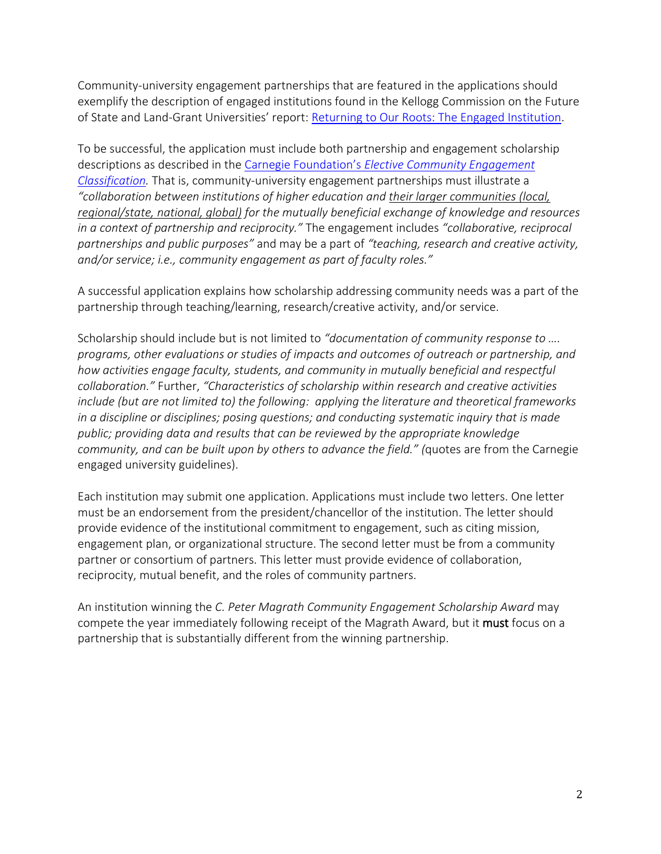Community-university engagement partnerships that are featured in the applications should exemplify the description of engaged institutions found in the Kellogg Commission on the Future of State and Land-Grant Universities' report: [Returning to Our Roots: The Engaged Institution.](http://www.aplu.org/library/returning-to-our-roots-the-engaged-institution)

To be successful, the application must include both partnership and engagement scholarship descriptions as described in the Carnegie Foundation's *[Elective Community Engagement](http://nerche.org/index.php?option=com_content&view=article&id=341&Itemid=92)  [Classification.](http://nerche.org/index.php?option=com_content&view=article&id=341&Itemid=92)* That is, community-university engagement partnerships must illustrate a *"collaboration between institutions of higher education and their larger communities (local, regional/state, national, global) for the mutually beneficial exchange of knowledge and resources in a context of partnership and reciprocity."* The engagement includes *"collaborative, reciprocal partnerships and public purposes"* and may be a part of *"teaching, research and creative activity, and/or service; i.e., community engagement as part of faculty roles."*

A successful application explains how scholarship addressing community needs was a part of the partnership through teaching/learning, research/creative activity, and/or service.

Scholarship should include but is not limited to *"documentation of community response to …. programs, other evaluations or studies of impacts and outcomes of outreach or partnership, and how activities engage faculty, students, and community in mutually beneficial and respectful collaboration."* Further, *"Characteristics of scholarship within research and creative activities include (but are not limited to) the following: applying the literature and theoretical frameworks in a discipline or disciplines; posing questions; and conducting systematic inquiry that is made public; providing data and results that can be reviewed by the appropriate knowledge community, and can be built upon by others to advance the field." (*quotes are from the Carnegie engaged university guidelines).

Each institution may submit one application. Applications must include two letters. One letter must be an endorsement from the president/chancellor of the institution. The letter should provide evidence of the institutional commitment to engagement, such as citing mission, engagement plan, or organizational structure. The second letter must be from a community partner or consortium of partners. This letter must provide evidence of collaboration, reciprocity, mutual benefit, and the roles of community partners.

An institution winning the *C. Peter Magrath Community Engagement Scholarship Award* may compete the year immediately following receipt of the Magrath Award, but it must focus on a partnership that is substantially different from the winning partnership.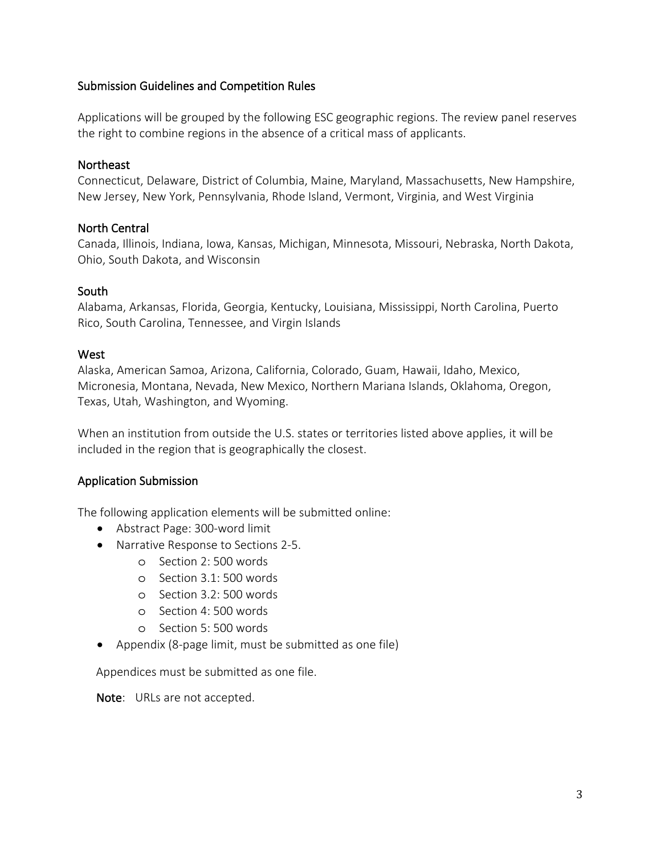#### Submission Guidelines and Competition Rules

Applications will be grouped by the following ESC geographic regions. The review panel reserves the right to combine regions in the absence of a critical mass of applicants.

#### Northeast

Connecticut, Delaware, District of Columbia, Maine, Maryland, Massachusetts, New Hampshire, New Jersey, New York, Pennsylvania, Rhode Island, Vermont, Virginia, and West Virginia

#### North Central

Canada, Illinois, Indiana, Iowa, Kansas, Michigan, Minnesota, Missouri, Nebraska, North Dakota, Ohio, South Dakota, and Wisconsin

#### South

Alabama, Arkansas, Florida, Georgia, Kentucky, Louisiana, Mississippi, North Carolina, Puerto Rico, South Carolina, Tennessee, and Virgin Islands

#### **West**

Alaska, American Samoa, Arizona, California, Colorado, Guam, Hawaii, Idaho, Mexico, Micronesia, Montana, Nevada, New Mexico, Northern Mariana Islands, Oklahoma, Oregon, Texas, Utah, Washington, and Wyoming.

When an institution from outside the U.S. states or territories listed above applies, it will be included in the region that is geographically the closest.

#### Application Submission

The following application elements will be submitted online:

- Abstract Page: 300-word limit
- Narrative Response to Sections 2-5.
	- o Section 2: 500 words
	- o Section 3.1: 500 words
	- o Section 3.2: 500 words
	- o Section 4: 500 words
	- o Section 5: 500 words
- Appendix (8-page limit, must be submitted as one file)

Appendices must be submitted as one file.

Note: URLs are not accepted.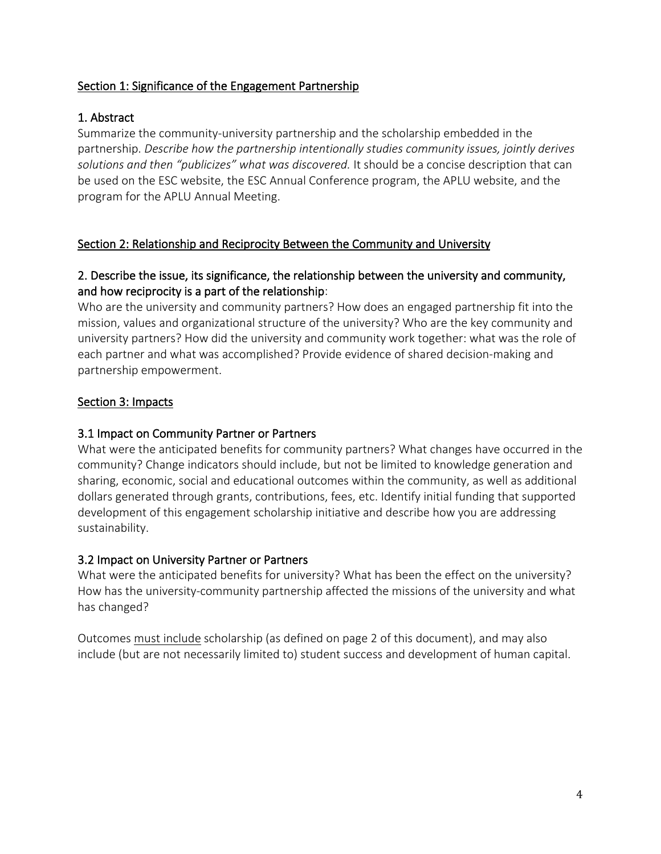#### Section 1: Significance of the Engagement Partnership

## 1. Abstract

Summarize the community-university partnership and the scholarship embedded in the partnership. *Describe how the partnership intentionally studies community issues, jointly derives solutions and then "publicizes" what was discovered.* It should be a concise description that can be used on the ESC website, the ESC Annual Conference program, the APLU website, and the program for the APLU Annual Meeting.

## Section 2: Relationship and Reciprocity Between the Community and University

## 2. Describe the issue, its significance, the relationship between the university and community, and how reciprocity is a part of the relationship:

Who are the university and community partners? How does an engaged partnership fit into the mission, values and organizational structure of the university? Who are the key community and university partners? How did the university and community work together: what was the role of each partner and what was accomplished? Provide evidence of shared decision-making and partnership empowerment.

## Section 3: Impacts

## 3.1 Impact on Community Partner or Partners

What were the anticipated benefits for community partners? What changes have occurred in the community? Change indicators should include, but not be limited to knowledge generation and sharing, economic, social and educational outcomes within the community, as well as additional dollars generated through grants, contributions, fees, etc. Identify initial funding that supported development of this engagement scholarship initiative and describe how you are addressing sustainability.

#### 3.2 Impact on University Partner or Partners

What were the anticipated benefits for university? What has been the effect on the university? How has the university-community partnership affected the missions of the university and what has changed?

Outcomes must include scholarship (as defined on page 2 of this document), and may also include (but are not necessarily limited to) student success and development of human capital.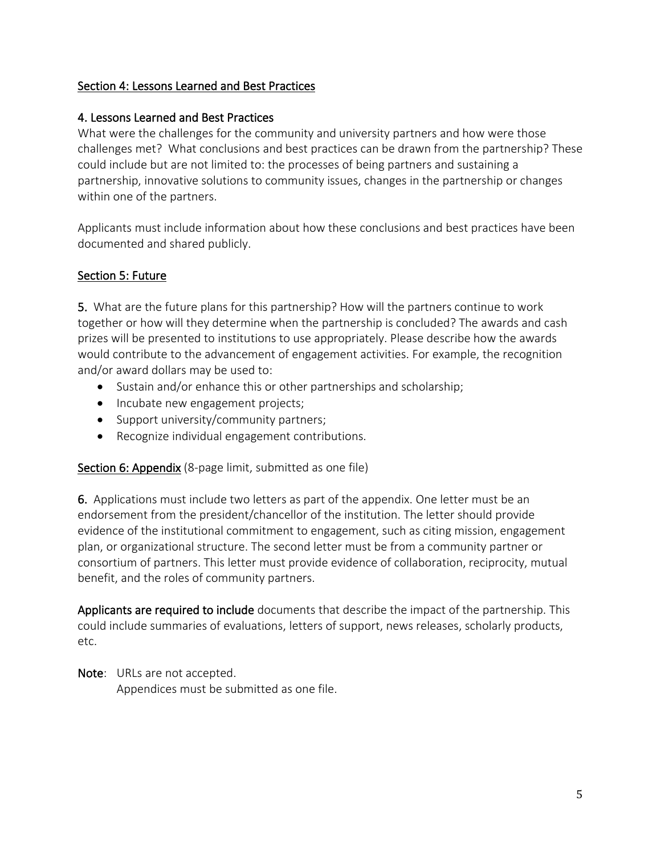## Section 4: Lessons Learned and Best Practices

## 4. Lessons Learned and Best Practices

What were the challenges for the community and university partners and how were those challenges met? What conclusions and best practices can be drawn from the partnership? These could include but are not limited to: the processes of being partners and sustaining a partnership, innovative solutions to community issues, changes in the partnership or changes within one of the partners.

Applicants must include information about how these conclusions and best practices have been documented and shared publicly.

## Section 5: Future

5. What are the future plans for this partnership? How will the partners continue to work together or how will they determine when the partnership is concluded? The awards and cash prizes will be presented to institutions to use appropriately. Please describe how the awards would contribute to the advancement of engagement activities. For example, the recognition and/or award dollars may be used to:

- Sustain and/or enhance this or other partnerships and scholarship;
- Incubate new engagement projects;
- Support university/community partners;
- Recognize individual engagement contributions.

Section 6: Appendix (8-page limit, submitted as one file)

6. Applications must include two letters as part of the appendix. One letter must be an endorsement from the president/chancellor of the institution. The letter should provide evidence of the institutional commitment to engagement, such as citing mission, engagement plan, or organizational structure. The second letter must be from a community partner or consortium of partners. This letter must provide evidence of collaboration, reciprocity, mutual benefit, and the roles of community partners.

Applicants are required to include documents that describe the impact of the partnership. This could include summaries of evaluations, letters of support, news releases, scholarly products, etc.

Note: URLs are not accepted. Appendices must be submitted as one file.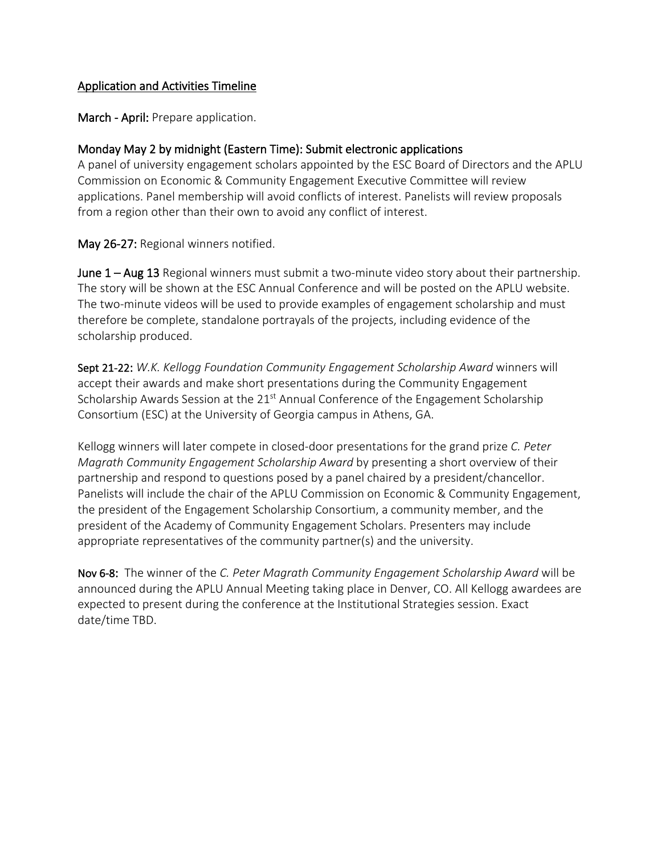#### Application and Activities Timeline

March - April: Prepare application.

## Monday May 2 by midnight (Eastern Time): Submit electronic applications

A panel of university engagement scholars appointed by the ESC Board of Directors and the APLU Commission on Economic & Community Engagement Executive Committee will review applications. Panel membership will avoid conflicts of interest. Panelists will review proposals from a region other than their own to avoid any conflict of interest.

May 26-27: Regional winners notified.

**June 1 – Aug 13** Regional winners must submit a two-minute video story about their partnership. The story will be shown at the ESC Annual Conference and will be posted on the APLU website. The two-minute videos will be used to provide examples of engagement scholarship and must therefore be complete, standalone portrayals of the projects, including evidence of the scholarship produced.

Sept 21-22: *W.K. Kellogg Foundation Community Engagement Scholarship Award* winners will accept their awards and make short presentations during the Community Engagement Scholarship Awards Session at the 21<sup>st</sup> Annual Conference of the Engagement Scholarship Consortium (ESC) at the University of Georgia campus in Athens, GA.

Kellogg winners will later compete in closed-door presentations for the grand prize *C. Peter Magrath Community Engagement Scholarship Award* by presenting a short overview of their partnership and respond to questions posed by a panel chaired by a president/chancellor. Panelists will include the chair of the APLU Commission on Economic & Community Engagement, the president of the Engagement Scholarship Consortium, a community member, and the president of the Academy of Community Engagement Scholars. Presenters may include appropriate representatives of the community partner(s) and the university.

Nov 6-8: The winner of the *C. Peter Magrath Community Engagement Scholarship Award* will be announced during the APLU Annual Meeting taking place in Denver, CO. All Kellogg awardees are expected to present during the conference at the Institutional Strategies session. Exact date/time TBD.